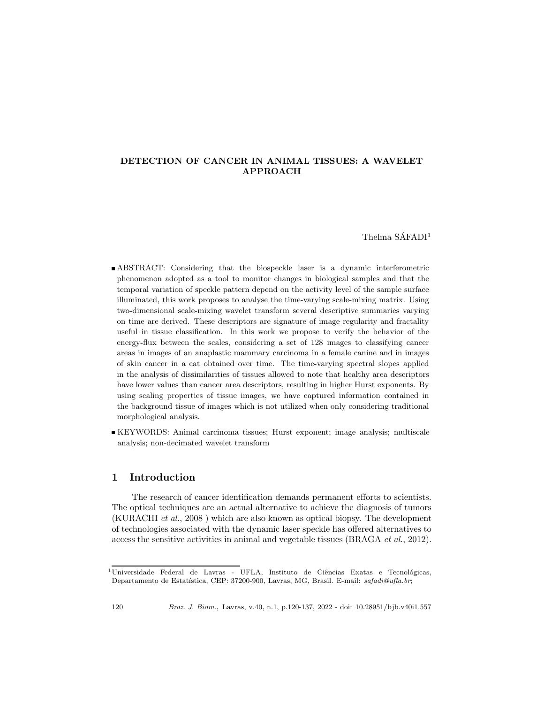# DETECTION OF CANCER IN ANIMAL TISSUES: A WAVELET APPROACH

Thelma  $S\AA$ FADI<sup>1</sup>

- ABSTRACT: Considering that the biospeckle laser is a dynamic interferometric phenomenon adopted as a tool to monitor changes in biological samples and that the temporal variation of speckle pattern depend on the activity level of the sample surface illuminated, this work proposes to analyse the time-varying scale-mixing matrix. Using two-dimensional scale-mixing wavelet transform several descriptive summaries varying on time are derived. These descriptors are signature of image regularity and fractality useful in tissue classification. In this work we propose to verify the behavior of the energy-flux between the scales, considering a set of 128 images to classifying cancer areas in images of an anaplastic mammary carcinoma in a female canine and in images of skin cancer in a cat obtained over time. The time-varying spectral slopes applied in the analysis of dissimilarities of tissues allowed to note that healthy area descriptors have lower values than cancer area descriptors, resulting in higher Hurst exponents. By using scaling properties of tissue images, we have captured information contained in the background tissue of images which is not utilized when only considering traditional morphological analysis.
- KEYWORDS: Animal carcinoma tissues; Hurst exponent; image analysis; multiscale analysis; non-decimated wavelet transform

## 1 Introduction

The research of cancer identification demands permanent efforts to scientists. The optical techniques are an actual alternative to achieve the diagnosis of tumors (KURACHI *et al.*, 2008 ) which are also known as optical biopsy. The development of technologies associated with the dynamic laser speckle has offered alternatives to access the sensitive activities in animal and vegetable tissues (BRAGA *et al.*, 2012).

<sup>&</sup>lt;sup>1</sup>Universidade Federal de Lavras - UFLA, Instituto de Ciências Exatas e Tecnológicas, Departamento de Estatística, CEP: 37200-900, Lavras, MG, Brasil. E-mail: safadi@ufla.br;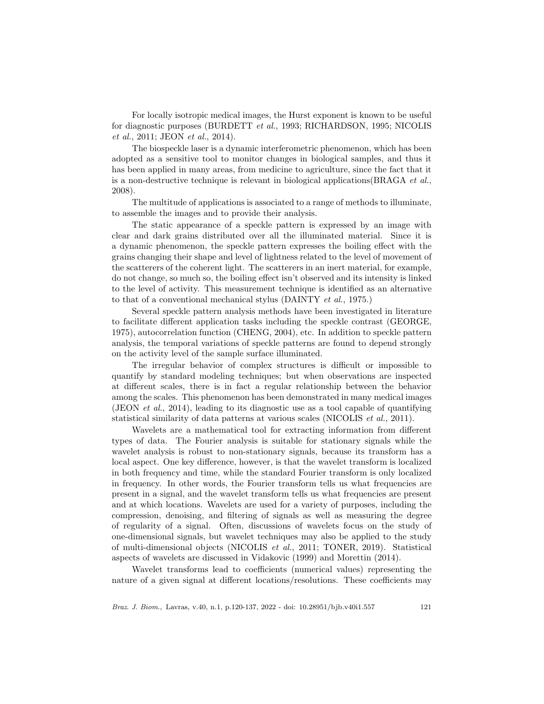For locally isotropic medical images, the Hurst exponent is known to be useful for diagnostic purposes (BURDETT *et al.*, 1993; RICHARDSON, 1995; NICOLIS *et al.*, 2011; JEON *et al.*, 2014).

The biospeckle laser is a dynamic interferometric phenomenon, which has been adopted as a sensitive tool to monitor changes in biological samples, and thus it has been applied in many areas, from medicine to agriculture, since the fact that it is a non-destructive technique is relevant in biological applications(BRAGA *et al.*, 2008).

The multitude of applications is associated to a range of methods to illuminate, to assemble the images and to provide their analysis.

The static appearance of a speckle pattern is expressed by an image with clear and dark grains distributed over all the illuminated material. Since it is a dynamic phenomenon, the speckle pattern expresses the boiling effect with the grains changing their shape and level of lightness related to the level of movement of the scatterers of the coherent light. The scatterers in an inert material, for example, do not change, so much so, the boiling effect isn't observed and its intensity is linked to the level of activity. This measurement technique is identified as an alternative to that of a conventional mechanical stylus (DAINTY *et al.*, 1975.)

Several speckle pattern analysis methods have been investigated in literature to facilitate different application tasks including the speckle contrast (GEORGE, 1975), autocorrelation function (CHENG, 2004), etc. In addition to speckle pattern analysis, the temporal variations of speckle patterns are found to depend strongly on the activity level of the sample surface illuminated.

The irregular behavior of complex structures is difficult or impossible to quantify by standard modeling techniques; but when observations are inspected at different scales, there is in fact a regular relationship between the behavior among the scales. This phenomenon has been demonstrated in many medical images (JEON *et al.*, 2014), leading to its diagnostic use as a tool capable of quantifying statistical similarity of data patterns at various scales (NICOLIS *et al.*, 2011).

Wavelets are a mathematical tool for extracting information from different types of data. The Fourier analysis is suitable for stationary signals while the wavelet analysis is robust to non-stationary signals, because its transform has a local aspect. One key difference, however, is that the wavelet transform is localized in both frequency and time, while the standard Fourier transform is only localized in frequency. In other words, the Fourier transform tells us what frequencies are present in a signal, and the wavelet transform tells us what frequencies are present and at which locations. Wavelets are used for a variety of purposes, including the compression, denoising, and filtering of signals as well as measuring the degree of regularity of a signal. Often, discussions of wavelets focus on the study of one-dimensional signals, but wavelet techniques may also be applied to the study of multi-dimensional objects (NICOLIS *et al.*, 2011; TONER, 2019). Statistical aspects of wavelets are discussed in Vidakovic (1999) and Morettin (2014).

Wavelet transforms lead to coefficients (numerical values) representing the nature of a given signal at different locations/resolutions. These coefficients may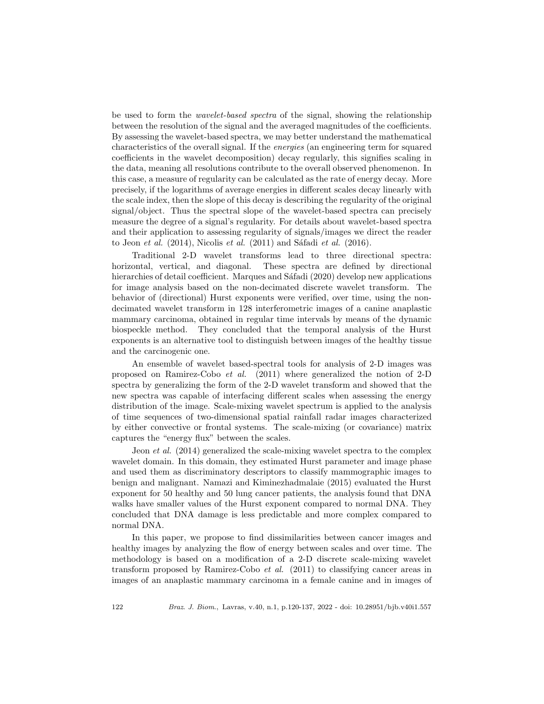be used to form the *wavelet-based spectra* of the signal, showing the relationship between the resolution of the signal and the averaged magnitudes of the coefficients. By assessing the wavelet-based spectra, we may better understand the mathematical characteristics of the overall signal. If the *energies* (an engineering term for squared coefficients in the wavelet decomposition) decay regularly, this signifies scaling in the data, meaning all resolutions contribute to the overall observed phenomenon. In this case, a measure of regularity can be calculated as the rate of energy decay. More precisely, if the logarithms of average energies in different scales decay linearly with the scale index, then the slope of this decay is describing the regularity of the original signal/object. Thus the spectral slope of the wavelet-based spectra can precisely measure the degree of a signal's regularity. For details about wavelet-based spectra and their application to assessing regularity of signals/images we direct the reader to Jeon *et al.* (2014), Nicolis *et al.* (2011) and Sáfadi *et al.* (2016).

Traditional 2-D wavelet transforms lead to three directional spectra: horizontal, vertical, and diagonal. These spectra are defined by directional hierarchies of detail coefficient. Marques and Safadi (2020) develop new applications for image analysis based on the non-decimated discrete wavelet transform. The behavior of (directional) Hurst exponents were verified, over time, using the nondecimated wavelet transform in 128 interferometric images of a canine anaplastic mammary carcinoma, obtained in regular time intervals by means of the dynamic biospeckle method. They concluded that the temporal analysis of the Hurst exponents is an alternative tool to distinguish between images of the healthy tissue and the carcinogenic one.

An ensemble of wavelet based-spectral tools for analysis of 2-D images was proposed on Ramirez-Cobo *et al.* (2011) where generalized the notion of 2-D spectra by generalizing the form of the 2-D wavelet transform and showed that the new spectra was capable of interfacing different scales when assessing the energy distribution of the image. Scale-mixing wavelet spectrum is applied to the analysis of time sequences of two-dimensional spatial rainfall radar images characterized by either convective or frontal systems. The scale-mixing (or covariance) matrix captures the "energy flux" between the scales.

Jeon *et al.* (2014) generalized the scale-mixing wavelet spectra to the complex wavelet domain. In this domain, they estimated Hurst parameter and image phase and used them as discriminatory descriptors to classify mammographic images to benign and malignant. Namazi and Kiminezhadmalaie (2015) evaluated the Hurst exponent for 50 healthy and 50 lung cancer patients, the analysis found that DNA walks have smaller values of the Hurst exponent compared to normal DNA. They concluded that DNA damage is less predictable and more complex compared to normal DNA.

In this paper, we propose to find dissimilarities between cancer images and healthy images by analyzing the flow of energy between scales and over time. The methodology is based on a modification of a 2-D discrete scale-mixing wavelet transform proposed by Ramirez-Cobo *et al.* (2011) to classifying cancer areas in images of an anaplastic mammary carcinoma in a female canine and in images of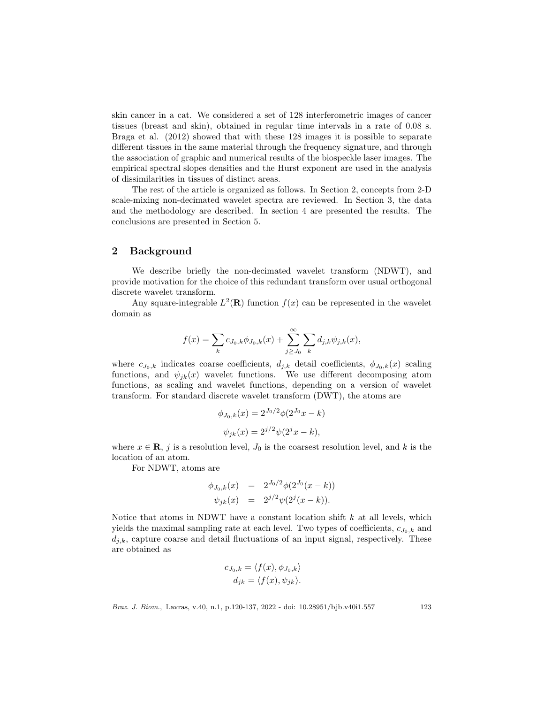skin cancer in a cat. We considered a set of 128 interferometric images of cancer tissues (breast and skin), obtained in regular time intervals in a rate of 0.08 s. Braga et al. (2012) showed that with these 128 images it is possible to separate different tissues in the same material through the frequency signature, and through the association of graphic and numerical results of the biospeckle laser images. The empirical spectral slopes densities and the Hurst exponent are used in the analysis of dissimilarities in tissues of distinct areas.

The rest of the article is organized as follows. In Section 2, concepts from 2-D scale-mixing non-decimated wavelet spectra are reviewed. In Section 3, the data and the methodology are described. In section 4 are presented the results. The conclusions are presented in Section 5.

## 2 Background

We describe briefly the non-decimated wavelet transform (NDWT), and provide motivation for the choice of this redundant transform over usual orthogonal discrete wavelet transform.

Any square-integrable  $L^2(\mathbf{R})$  function  $f(x)$  can be represented in the wavelet domain as

$$
f(x) = \sum_{k} c_{J_0,k} \phi_{J_0,k}(x) + \sum_{j \ge J_0}^{\infty} \sum_{k} d_{j,k} \psi_{j,k}(x),
$$

where  $c_{J_0,k}$  indicates coarse coefficients,  $d_{j,k}$  detail coefficients,  $\phi_{J_0,k}(x)$  scaling functions, and  $\psi_{jk}(x)$  wavelet functions. We use different decomposing atom functions, as scaling and wavelet functions, depending on a version of wavelet transform. For standard discrete wavelet transform (DWT), the atoms are

$$
\phi_{J_0,k}(x) = 2^{J_0/2} \phi(2^{J_0}x - k)
$$

$$
\psi_{jk}(x) = 2^{j/2} \psi(2^j x - k),
$$

where  $x \in \mathbf{R}$ , j is a resolution level,  $J_0$  is the coarsest resolution level, and k is the location of an atom.

For NDWT, atoms are

$$
\begin{array}{rcl}\n\phi_{J_0,k}(x) & = & 2^{J_0/2} \phi(2^{J_0}(x-k)) \\
\psi_{jk}(x) & = & 2^{j/2} \psi(2^j(x-k)).\n\end{array}
$$

Notice that atoms in NDWT have a constant location shift  $k$  at all levels, which yields the maximal sampling rate at each level. Two types of coefficients,  $c_{J_0,k}$  and  $d_{i,k}$ , capture coarse and detail fluctuations of an input signal, respectively. These are obtained as

$$
c_{J_0,k} = \langle f(x), \phi_{J_0,k} \rangle
$$
  

$$
d_{jk} = \langle f(x), \psi_{jk} \rangle.
$$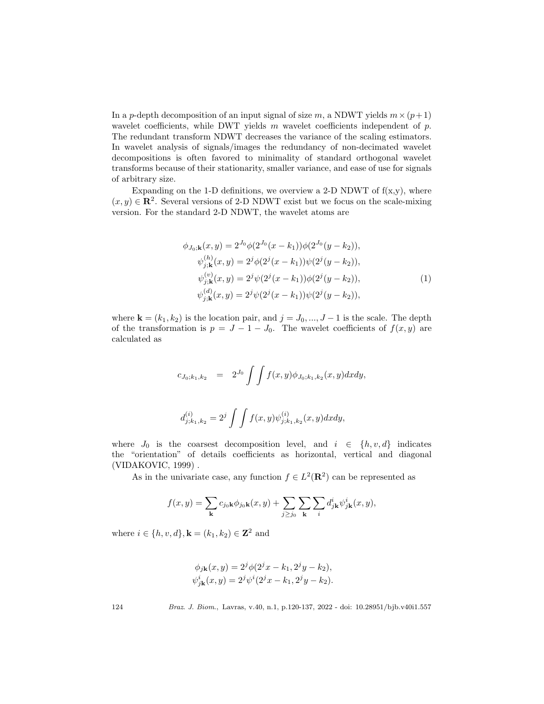In a p-depth decomposition of an input signal of size m, a NDWT yields  $m \times (p+1)$ wavelet coefficients, while DWT yields  $m$  wavelet coefficients independent of  $p$ . The redundant transform NDWT decreases the variance of the scaling estimators. In wavelet analysis of signals/images the redundancy of non-decimated wavelet decompositions is often favored to minimality of standard orthogonal wavelet transforms because of their stationarity, smaller variance, and ease of use for signals of arbitrary size.

Expanding on the 1-D definitions, we overview a 2-D NDWT of  $f(x,y)$ , where  $(x, y) \in \mathbb{R}^2$ . Several versions of 2-D NDWT exist but we focus on the scale-mixing version. For the standard 2-D NDWT, the wavelet atoms are

$$
\phi_{J_0; \mathbf{k}}(x, y) = 2^{J_0} \phi(2^{J_0}(x - k_1)) \phi(2^{J_0}(y - k_2)),
$$
  
\n
$$
\psi_{j; \mathbf{k}}^{(h)}(x, y) = 2^j \phi(2^j(x - k_1)) \psi(2^j(y - k_2)),
$$
  
\n
$$
\psi_{j; \mathbf{k}}^{(v)}(x, y) = 2^j \psi(2^j(x - k_1)) \phi(2^j(y - k_2)),
$$
  
\n
$$
\psi_{j; \mathbf{k}}^{(d)}(x, y) = 2^j \psi(2^j(x - k_1)) \psi(2^j(y - k_2)),
$$
\n(1)

where  $\mathbf{k} = (k_1, k_2)$  is the location pair, and  $j = J_0, ..., J - 1$  is the scale. The depth of the transformation is  $p = J - 1 - J_0$ . The wavelet coefficients of  $f(x, y)$  are calculated as

$$
c_{J_0;k_1,k_2} = 2^{J_0} \int \int f(x,y) \phi_{J_0;k_1,k_2}(x,y) dx dy,
$$
  

$$
d_{j;k_1,k_2}^{(i)} = 2^j \int \int f(x,y) \psi_{j;k_1,k_2}^{(i)}(x,y) dx dy,
$$

where  $J_0$  is the coarsest decomposition level, and  $i \in \{h, v, d\}$  indicates the "orientation" of details coefficients as horizontal, vertical and diagonal (VIDAKOVIC, 1999) .

As in the univariate case, any function  $f \in L^2(\mathbf{R}^2)$  can be represented as

$$
f(x,y) = \sum_{\mathbf{k}} c_{j_0 \mathbf{k}} \phi_{j_0 \mathbf{k}}(x,y) + \sum_{j \ge j_0} \sum_{\mathbf{k}} \sum_i d^i_{j \mathbf{k}} \psi^i_{j \mathbf{k}}(x,y),
$$

where  $i \in \{h, v, d\}, \mathbf{k} = (k_1, k_2) \in \mathbf{Z}^2$  and

$$
\phi_{j\mathbf{k}}(x, y) = 2^j \phi(2^j x - k_1, 2^j y - k_2), \n\psi_{j\mathbf{k}}^i(x, y) = 2^j \psi^i(2^j x - k_1, 2^j y - k_2).
$$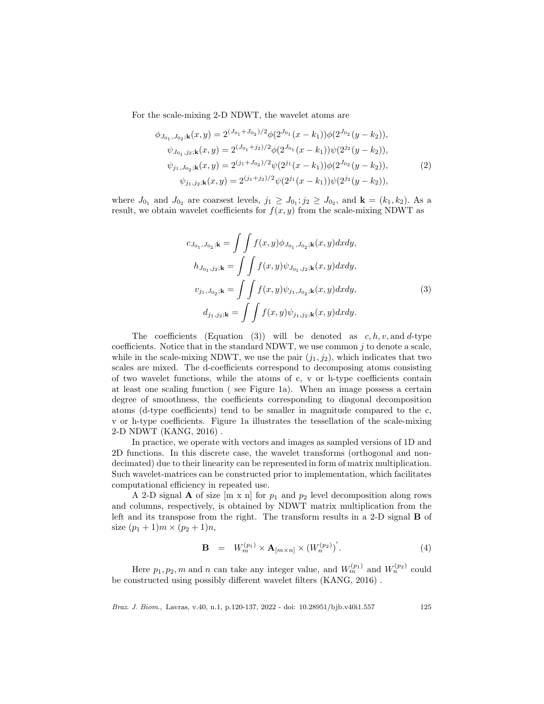For the scale-mixing 2-D NDWT, the wavelet atoms are

$$
\phi_{J_{0_1}, J_{0_2}; \mathbf{k}}(x, y) = 2^{(J_{0_1} + J_{0_2})/2} \phi(2^{J_{0_1}}(x - k_1)) \phi(2^{J_{0_2}}(y - k_2)),
$$
  
\n
$$
\psi_{J_{0_1}, j_2; \mathbf{k}}(x, y) = 2^{(J_{0_1} + j_2)/2} \phi(2^{J_{0_1}}(x - k_1)) \psi(2^{j_2}(y - k_2)),
$$
  
\n
$$
\psi_{j_1, J_{0_2}; \mathbf{k}}(x, y) = 2^{(j_1 + J_{0_2})/2} \psi(2^{j_1}(x - k_1)) \phi(2^{J_{0_2}}(y - k_2)),
$$
  
\n
$$
\psi_{j_1, j_2; \mathbf{k}}(x, y) = 2^{(j_1 + j_2)/2} \psi(2^{j_1}(x - k_1)) \psi(2^{j_2}(y - k_2)),
$$
\n(2)

where  $J_{0_1}$  and  $J_{0_2}$  are coarsest levels,  $j_1 \geq J_{0_1}; j_2 \geq J_{0_2}$ , and  $\mathbf{k} = (k_1, k_2)$ . As a result, we obtain wavelet coefficients for  $f(x, y)$  from the scale-mixing NDWT as

$$
c_{J_{0_1}, J_{0_2}; \mathbf{k}} = \int \int f(x, y) \phi_{J_{0_1}, J_{0_2}; \mathbf{k}}(x, y) dx dy,
$$
  
\n
$$
h_{J_{0_1}, j_2; \mathbf{k}} = \int \int f(x, y) \psi_{J_{0_1}, j_2; \mathbf{k}}(x, y) dx dy,
$$
  
\n
$$
v_{j_1, J_{0_2}; \mathbf{k}} = \int \int f(x, y) \psi_{j_1, J_{0_2}; \mathbf{k}}(x, y) dx dy,
$$
  
\n
$$
d_{j_1, j_2; \mathbf{k}} = \int \int f(x, y) \psi_{j_1, j_2; \mathbf{k}}(x, y) dx dy.
$$
\n(3)

The coefficients (Equation (3)) will be denoted as  $c, h, v$ , and d-type coefficients. Notice that in the standard NDWT, we use common  $j$  to denote a scale, while in the scale-mixing NDWT, we use the pair  $(j_1, j_2)$ , which indicates that two scales are mixed. The d-coefficients correspond to decomposing atoms consisting of two wavelet functions, while the atoms of c, v or h-type coefficients contain at least one scaling function ( see Figure 1a). When an image possess a certain degree of smoothness, the coefficients corresponding to diagonal decomposition atoms (d-type coefficients) tend to be smaller in magnitude compared to the c, v or h-type coefficients. Figure 1a illustrates the tessellation of the scale-mixing 2-D NDWT (KANG, 2016) .

In practice, we operate with vectors and images as sampled versions of 1D and 2D functions. In this discrete case, the wavelet transforms (orthogonal and nondecimated) due to their linearity can be represented in form of matrix multiplication. Such wavelet-matrices can be constructed prior to implementation, which facilitates computational efficiency in repeated use.

A 2-D signal **A** of size  $[m \times n]$  for  $p_1$  and  $p_2$  level decomposition along rows and columns, respectively, is obtained by NDWT matrix multiplication from the left and its transpose from the right. The transform results in a 2-D signal B of size  $(p_1 + 1)m \times (p_2 + 1)n$ ,

$$
\mathbf{B} = W_m^{(p_1)} \times \mathbf{A}_{[m \times n]} \times (W_n^{(p_2)})'.
$$
 (4)

Here  $p_1, p_2, m$  and n can take any integer value, and  $W_m^{(p_1)}$  and  $W_n^{(p_2)}$  could be constructed using possibly different wavelet filters (KANG, 2016) .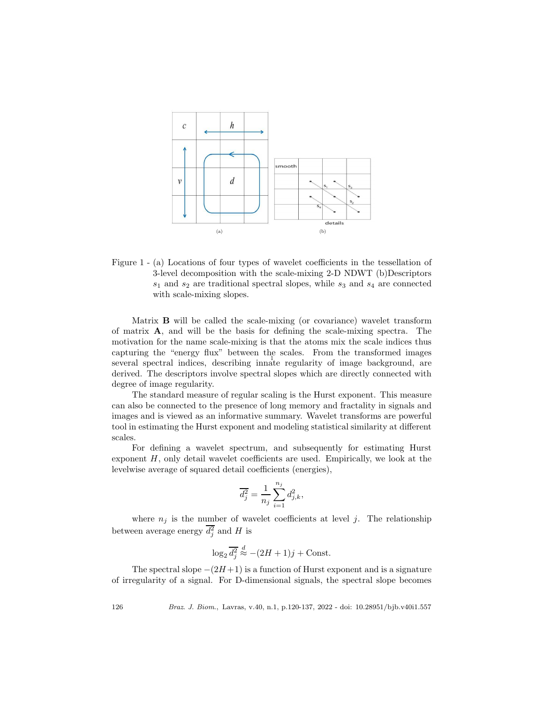

Figure 1 - (a) Locations of four types of wavelet coefficients in the tessellation of 3-level decomposition with the scale-mixing 2-D NDWT (b)Descriptors  $s_1$  and  $s_2$  are traditional spectral slopes, while  $s_3$  and  $s_4$  are connected with scale-mixing slopes.

several spectral indices, describing innate regularity of image background, are Matrix B will be called the scale-mixing (or covariance) wavelet transform of matrix A, and will be the basis for defining the scale-mixing spectra. The motivation for the name scale-mixing is that the atoms mix the scale indices thus capturing the "energy flux" between the scales. From the transformed images derived. The descriptors involve spectral slopes which are directly connected with degree of image regularity.

The standard measure of regular scaling is the Hurst exponent. This measure can also be connected to the presence of long memory and fractality in signals and images and is viewed as an informative summary. Wavelet transforms are powerful tool in estimating the Hurst exponent and modeling statistical similarity at different scales.

For defining a wavelet spectrum, and subsequently for estimating Hurst exponent  $H$ , only detail wavelet coefficients are used. Empirically, we look at the levelwise average of squared detail coefficients (energies),

$$
\overline{d_j^2} = \frac{1}{n_j} \sum_{i=1}^{n_j} d_{j,k}^2,
$$

where  $n_j$  is the number of wavelet coefficients at level j. The relationship between average energy  $d_j^2$  and H is

$$
\log_2 \overline{d_j^2} \stackrel{d}{\approx} -(2H+1)j + \text{Const.}
$$

The spectral slope  $-(2H+1)$  is a function of Hurst exponent and is a signature of irregularity of a signal. For D-dimensional signals, the spectral slope becomes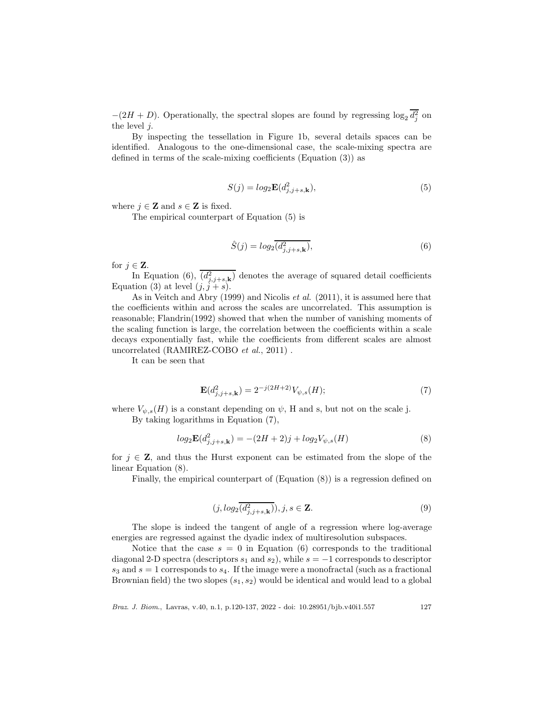$-(2H + D)$ . Operationally, the spectral slopes are found by regressing  $\log_2 d_j^2$  on the level  $i$ .

By inspecting the tessellation in Figure 1b, several details spaces can be identified. Analogous to the one-dimensional case, the scale-mixing spectra are defined in terms of the scale-mixing coefficients (Equation (3)) as

$$
S(j) = log_2 \mathbf{E}(d_{j,j+s,k}^2),\tag{5}
$$

where  $j \in \mathbb{Z}$  and  $s \in \mathbb{Z}$  is fixed.

The empirical counterpart of Equation (5) is

$$
\hat{S}(j) = log_2(\overline{d_{j,j+s,\mathbf{k}}^2}),\tag{6}
$$

for  $j \in \mathbf{Z}$ .

In Equation (6),  $(d_{j,j+s,k}^2)$  denotes the average of squared detail coefficients Equation (3) at level  $(j, j + s)$ .

As in Veitch and Abry (1999) and Nicolis *et al.* (2011), it is assumed here that the coefficients within and across the scales are uncorrelated. This assumption is reasonable; Flandrin(1992) showed that when the number of vanishing moments of the scaling function is large, the correlation between the coefficients within a scale decays exponentially fast, while the coefficients from different scales are almost uncorrelated (RAMIREZ-COBO *et al.*, 2011) .

It can be seen that

$$
\mathbf{E}(d_{j,j+s,k}^2) = 2^{-j(2H+2)} V_{\psi,s}(H); \tag{7}
$$

where  $V_{\psi,s}(H)$  is a constant depending on  $\psi$ , H and s, but not on the scale j. By taking logarithms in Equation (7),

$$
log_2 \mathbf{E}(d_{j,j+s,k}^2) = -(2H+2)j + log_2 V_{\psi,s}(H)
$$
\n(8)

for  $j \in \mathbb{Z}$ , and thus the Hurst exponent can be estimated from the slope of the linear Equation (8).

Finally, the empirical counterpart of (Equation (8)) is a regression defined on

$$
(j, log_2(\overline{d_{j,j+s,k}^2})), j, s \in \mathbf{Z}.
$$
\n
$$
(9)
$$

The slope is indeed the tangent of angle of a regression where log-average energies are regressed against the dyadic index of multiresolution subspaces.

Notice that the case  $s = 0$  in Equation (6) corresponds to the traditional diagonal 2-D spectra (descriptors  $s_1$  and  $s_2$ ), while  $s = -1$  corresponds to descriptor  $s_3$  and  $s = 1$  corresponds to  $s_4$ . If the image were a monofractal (such as a fractional Brownian field) the two slopes  $(s_1, s_2)$  would be identical and would lead to a global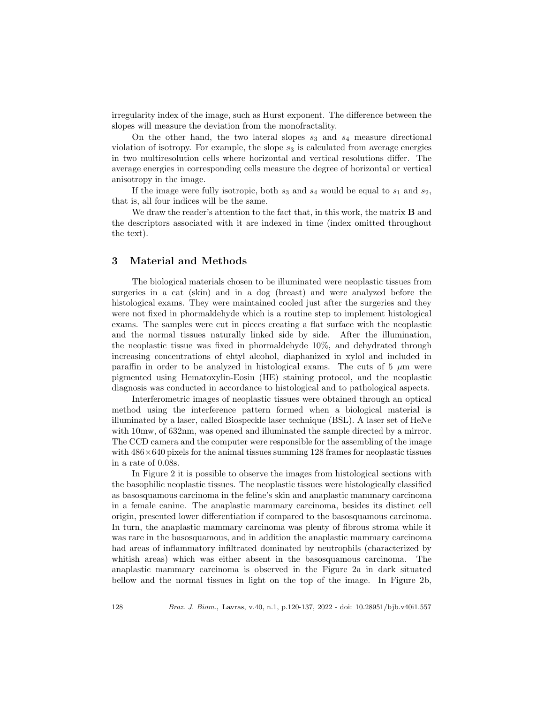irregularity index of the image, such as Hurst exponent. The difference between the slopes will measure the deviation from the monofractality.

On the other hand, the two lateral slopes  $s_3$  and  $s_4$  measure directional violation of isotropy. For example, the slope  $s_3$  is calculated from average energies in two multiresolution cells where horizontal and vertical resolutions differ. The average energies in corresponding cells measure the degree of horizontal or vertical anisotropy in the image.

If the image were fully isotropic, both  $s_3$  and  $s_4$  would be equal to  $s_1$  and  $s_2$ , that is, all four indices will be the same.

We draw the reader's attention to the fact that, in this work, the matrix **B** and the descriptors associated with it are indexed in time (index omitted throughout the text).

## 3 Material and Methods

The biological materials chosen to be illuminated were neoplastic tissues from surgeries in a cat (skin) and in a dog (breast) and were analyzed before the histological exams. They were maintained cooled just after the surgeries and they were not fixed in phormaldehyde which is a routine step to implement histological exams. The samples were cut in pieces creating a flat surface with the neoplastic and the normal tissues naturally linked side by side. After the illumination, the neoplastic tissue was fixed in phormaldehyde 10%, and dehydrated through increasing concentrations of ehtyl alcohol, diaphanized in xylol and included in paraffin in order to be analyzed in histological exams. The cuts of 5  $\mu$ m were pigmented using Hematoxylin-Eosin (HE) staining protocol, and the neoplastic diagnosis was conducted in accordance to histological and to pathological aspects.

Interferometric images of neoplastic tissues were obtained through an optical method using the interference pattern formed when a biological material is illuminated by a laser, called Biospeckle laser technique (BSL). A laser set of HeNe with 10mw, of 632nm, was opened and illuminated the sample directed by a mirror. The CCD camera and the computer were responsible for the assembling of the image with  $486\times640$  pixels for the animal tissues summing 128 frames for neoplastic tissues in a rate of 0.08s.

In Figure 2 it is possible to observe the images from histological sections with the basophilic neoplastic tissues. The neoplastic tissues were histologically classified as basosquamous carcinoma in the feline's skin and anaplastic mammary carcinoma in a female canine. The anaplastic mammary carcinoma, besides its distinct cell origin, presented lower differentiation if compared to the basosquamous carcinoma. In turn, the anaplastic mammary carcinoma was plenty of fibrous stroma while it was rare in the basosquamous, and in addition the anaplastic mammary carcinoma had areas of inflammatory infiltrated dominated by neutrophils (characterized by whitish areas) which was either absent in the basosquamous carcinoma. The anaplastic mammary carcinoma is observed in the Figure 2a in dark situated bellow and the normal tissues in light on the top of the image. In Figure 2b,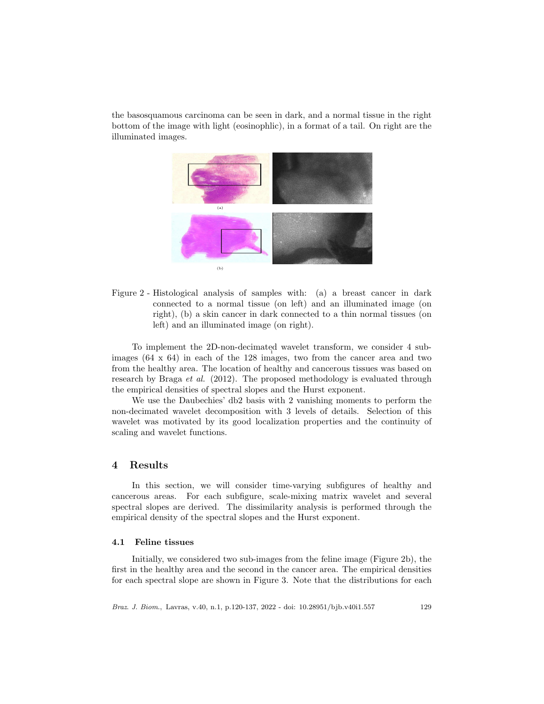the basosquamous carcinoma can be seen in dark, and a normal tissue in the right bottom of the image with light (eosinophlic), in a format of a tail. On right are the illuminated images.



Figure 2 - Histological analysis of samples with: (a) a breast cancer in dark connected to a normal tissue (on left) and an illuminated image (on right), (b) a skin cancer in dark connected to a thin normal tissues (on left) and an illuminated image (on right).

1 To implement the 2D-non-decimated wavelet transform, we consider 4 subimages  $(64 \times 64)$  in each of the 128 images, two from the cancer area and two from the healthy area. The location of healthy and cancerous tissues was based on research by Braga *et al.* (2012). The proposed methodology is evaluated through the empirical densities of spectral slopes and the Hurst exponent.

We use the Daubechies' db2 basis with 2 vanishing moments to perform the non-decimated wavelet decomposition with 3 levels of details. Selection of this wavelet was motivated by its good localization properties and the continuity of scaling and wavelet functions.

### 4 Results

In this section, we will consider time-varying subfigures of healthy and cancerous areas. For each subfigure, scale-mixing matrix wavelet and several spectral slopes are derived. The dissimilarity analysis is performed through the empirical density of the spectral slopes and the Hurst exponent.

#### 4.1 Feline tissues

Initially, we considered two sub-images from the feline image (Figure 2b), the first in the healthy area and the second in the cancer area. The empirical densities for each spectral slope are shown in Figure 3. Note that the distributions for each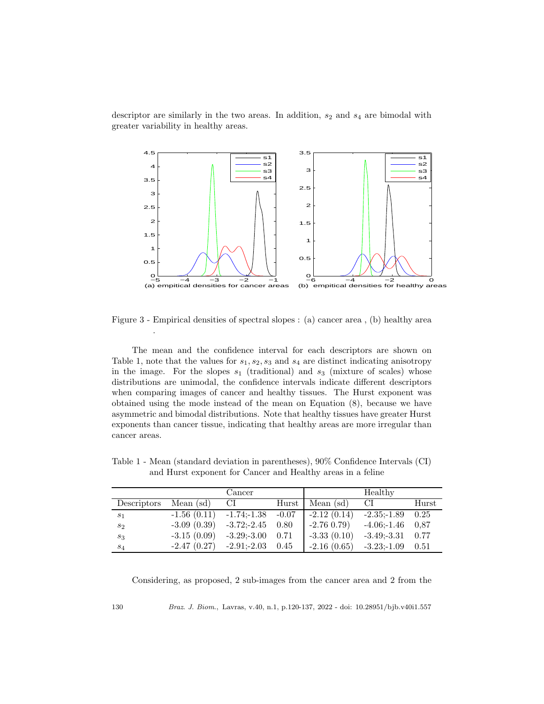descriptor are similarly in the two areas. In addition,  $s_2$  and  $s_4$  are bimodal with greater variability in healthy areas.



Figure 3 - Empirical densities of spectral slopes : (a) cancer area , (b) healthy area

The mean and the confidence interval for each descriptors are shown on Table 1, note that the values for  $s_1, s_2, s_3$  and  $s_4$  are distinct indicating anisotropy in the image. For the slopes  $s_1$  (traditional) and  $s_3$  (mixture of scales) whose distributions are unimodal, the confidence intervals indicate different descriptors when comparing images of cancer and healthy tissues. The Hurst exponent was obtained using the mode instead of the mean on Equation (8), because we have asymmetric and bimodal distributions. Note that healthy tissues have greater Hurst exponents than cancer tissue, indicating that healthy areas are more irregular than cancer areas.

|             |                              | Cancer                 |      |                     | Healthy        |       |
|-------------|------------------------------|------------------------|------|---------------------|----------------|-------|
| Descriptors | Mean $(sd)$                  | CI                     |      | Hurst   Mean $(sd)$ | CI             | Hurst |
| $s_1$       | $-1.56(0.11)$                | $-1.74; -1.38$ $-0.07$ |      | $-2.12(0.14)$       | $-2.35 - 1.89$ | 0.25  |
| $s_2$       | $-3.09(0.39)$                | $-3.72; -2.45$ 0.80    |      | $-2.76\;0.79$       | $-4.06; -1.46$ | -0.87 |
| $s_3$       | $-3.15(0.09)$                | $-3.29; -3.00$ 0.71    |      | $-3.33(0.10)$       | $-3.49; -3.31$ | 0.77  |
| $s_4$       | $-2.47(0.27)$ $-2.91; -2.03$ |                        | 0.45 | $-2.16(0.65)$       | $-3.23 - 1.09$ | 0.51  |

Table 1 - Mean (standard deviation in parentheses), 90% Confidence Intervals (CI) and Hurst exponent for Cancer and Healthy areas in a feline

Considering, as proposed, 2 sub-images from the cancer area and 2 from the

130 Braz. J. Biom., Lavras, v.40, n.1, p.120-137, 2022 - doi: 10.28951/bjb.v40i1.557

.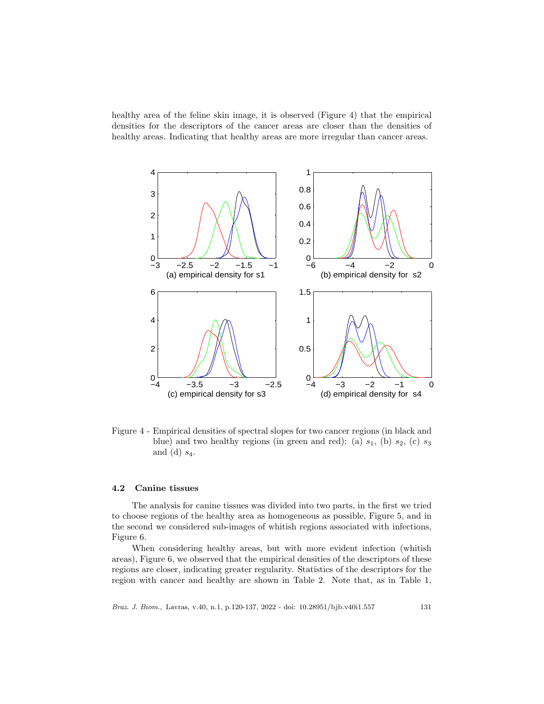healthy area of the feline skin image, it is observed (Figure 4) that the empirical densities for the descriptors of the cancer areas are closer than the densities of healthy areas. Indicating that healthy areas are more irregular than cancer areas.



Figure 4 - Empirical densities of spectral slopes for two cancer regions (in black and blue) and two healthy regions (in green and red): (a)  $s_1$ , (b)  $s_2$ , (c)  $s_3$ and (d)  $s_4$ .

## 4.2 Canine tissues

The analysis for canine tissues was divided into two parts, in the first we tried to choose regions of the healthy area as homogeneous as possible, Figure 5, and in the second we considered sub-images of whitish regions associated with infections, Figure 6.

When considering healthy areas, but with more evident infection (whitish areas), Figure 6, we observed that the empirical densities of the descriptors of these regions are closer, indicating greater regularity. Statistics of the descriptors for the region with cancer and healthy are shown in Table 2. Note that, as in Table 1,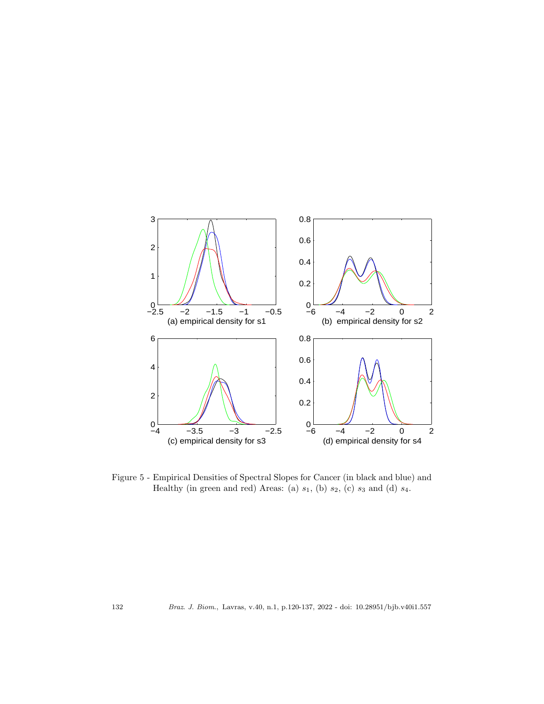

Figure 5 - Empirical Densities of Spectral Slopes for Cancer (in black and blue) and Healthy (in green and red) Areas: (a)  $s_1$ , (b)  $s_2$ , (c)  $s_3$  and (d)  $s_4$ .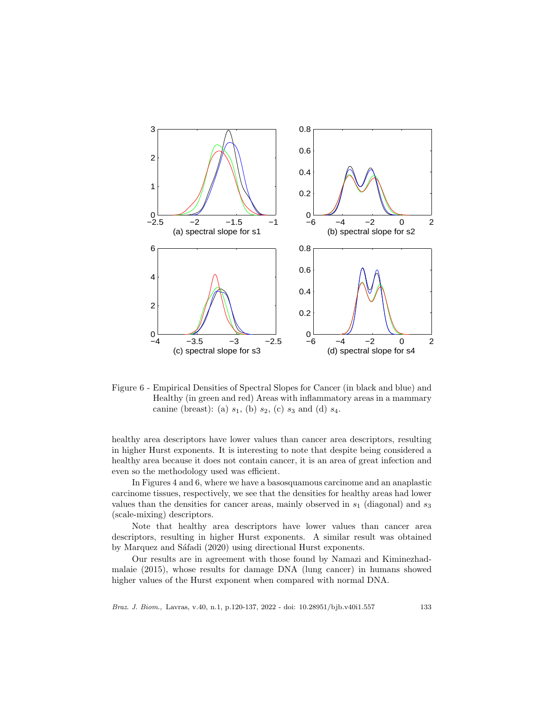

Figure 6 - Empirical Densities of Spectral Slopes for Cancer (in black and blue) and Healthy (in green and red) Areas with inflammatory areas in a mammary canine (breast): (a)  $s_1$ , (b)  $s_2$ , (c)  $s_3$  and (d)  $s_4$ .

healthy area descriptors have lower values than cancer area descriptors, resulting in higher Hurst exponents. It is interesting to note that despite being considered a healthy area because it does not contain cancer, it is an area of great infection and even so the methodology used was efficient.

In Figures 4 and 6, where we have a basosquamous carcinome and an anaplastic carcinome tissues, respectively, we see that the densities for healthy areas had lower values than the densities for cancer areas, mainly observed in  $s_1$  (diagonal) and  $s_3$ (scale-mixing) descriptors.

Note that healthy area descriptors have lower values than cancer area descriptors, resulting in higher Hurst exponents. A similar result was obtained by Marquez and Sáfadi (2020) using directional Hurst exponents.

Our results are in agreement with those found by Namazi and Kiminezhadmalaie (2015), whose results for damage DNA (lung cancer) in humans showed higher values of the Hurst exponent when compared with normal DNA.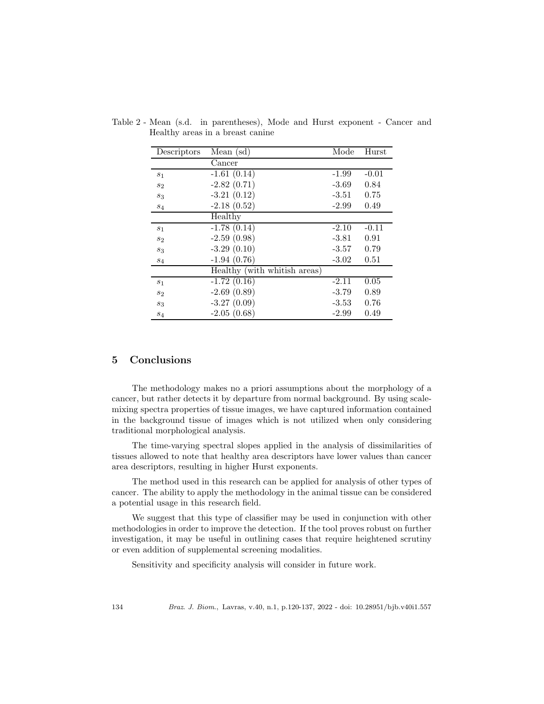| Descriptors    | Mean $(sd)$                  | Mode    | Hurst   |
|----------------|------------------------------|---------|---------|
|                | Cancer                       |         |         |
| s <sub>1</sub> | $-1.61(0.14)$                | $-1.99$ | $-0.01$ |
| $s_2$          | $-2.82(0.71)$                | $-3.69$ | 0.84    |
| $s_3$          | $-3.21(0.12)$                | $-3.51$ | 0.75    |
| $s_4$          | $-2.18(0.52)$                | $-2.99$ | 0.49    |
|                | Healthy                      |         |         |
| $s_1$          | $-1.78(0.14)$                | $-2.10$ | $-0.11$ |
| $s_2$          | $-2.59(0.98)$                | $-3.81$ | 0.91    |
| $s_3$          | $-3.29(0.10)$                | $-3.57$ | 0.79    |
| $S_4$          | $-1.94(0.76)$                | $-3.02$ | 0.51    |
|                | Healthy (with whitish areas) |         |         |
| $s_1$          | $-1.72(0.16)$                | $-2.11$ | 0.05    |
| $s_2$          | $-2.69(0.89)$                | $-3.79$ | 0.89    |
| $s_3$          | $-3.27(0.09)$                | $-3.53$ | 0.76    |
| $S_4$          | $-2.05(0.68)$                | $-2.99$ | 0.49    |

Table 2 - Mean (s.d. in parentheses), Mode and Hurst exponent - Cancer and Healthy areas in a breast canine

## 5 Conclusions

The methodology makes no a priori assumptions about the morphology of a cancer, but rather detects it by departure from normal background. By using scalemixing spectra properties of tissue images, we have captured information contained in the background tissue of images which is not utilized when only considering traditional morphological analysis.

The time-varying spectral slopes applied in the analysis of dissimilarities of tissues allowed to note that healthy area descriptors have lower values than cancer area descriptors, resulting in higher Hurst exponents.

The method used in this research can be applied for analysis of other types of cancer. The ability to apply the methodology in the animal tissue can be considered a potential usage in this research field.

We suggest that this type of classifier may be used in conjunction with other methodologies in order to improve the detection. If the tool proves robust on further investigation, it may be useful in outlining cases that require heightened scrutiny or even addition of supplemental screening modalities.

Sensitivity and specificity analysis will consider in future work.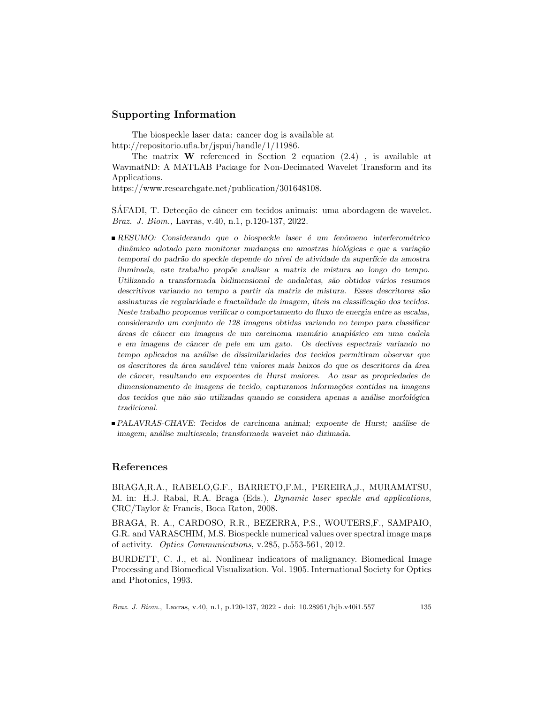# Supporting Information

The biospeckle laser data: cancer dog is available at http://repositorio.ufla.br/jspui/handle/1/11986.

The matrix  $W$  referenced in Section 2 equation  $(2.4)$ , is available at WavmatND: A MATLAB Package for Non-Decimated Wavelet Transform and its Applications.

https://www.researchgate.net/publication/301648108.

SÁFADI, T. Detecção de câncer em tecidos animais: uma abordagem de wavelet. *Braz. J. Biom.,* Lavras, v.40, n.1, p.120-137, 2022.

- $\blacksquare$ RESUMO: Considerando que o biospeckle laser é um fenômeno interferométrico dinâmico adotado para monitorar mudanças em amostras biológicas e que a variação temporal do padrão do speckle depende do nível de atividade da superfície da amostra iluminada, este trabalho prop˜oe analisar a matriz de mistura ao longo do tempo. Utilizando a transformada bidimensional de ondaletas, são obtidos vários resumos descritivos variando no tempo a partir da matriz de mistura. Esses descritores são assinaturas de regularidade e fractalidade da imagem, úteis na classificação dos tecidos. Neste trabalho propomos verificar o comportamento do fluxo de energia entre as escalas, considerando um conjunto de 128 imagens obtidas variando no tempo para classificar áreas de câncer em imagens de um carcinoma mamário anaplásico em uma cadela e em imagens de câncer de pele em um gato. Os declives espectrais variando no tempo aplicados na análise de dissimilaridades dos tecidos permitiram observar que os descritores da área saudável têm valores mais baixos do que os descritores da área de câncer, resultando em expoentes de Hurst maiores. Ao usar as propriedades de dimensionamento de imagens de tecido, capturamos informações contidas na imagens dos tecidos que não são utilizadas quando se considera apenas a análise morfológica tradicional.
- PALAVRAS-CHAVE: Tecidos de carcinoma animal; expoente de Hurst; an´alise de imagem; análise multiescala; transformada wavelet não dizimada.

### References

BRAGA,R.A., RABELO,G.F., BARRETO,F.M., PEREIRA,J., MURAMATSU, M. in: H.J. Rabal, R.A. Braga (Eds.), *Dynamic laser speckle and applications*, CRC/Taylor & Francis, Boca Raton, 2008.

BRAGA, R. A., CARDOSO, R.R., BEZERRA, P.S., WOUTERS,F., SAMPAIO, G.R. and VARASCHIM, M.S. Biospeckle numerical values over spectral image maps of activity. *Optics Communications*, v.285, p.553-561, 2012.

BURDETT, C. J., et al. Nonlinear indicators of malignancy. Biomedical Image Processing and Biomedical Visualization. Vol. 1905. International Society for Optics and Photonics, 1993.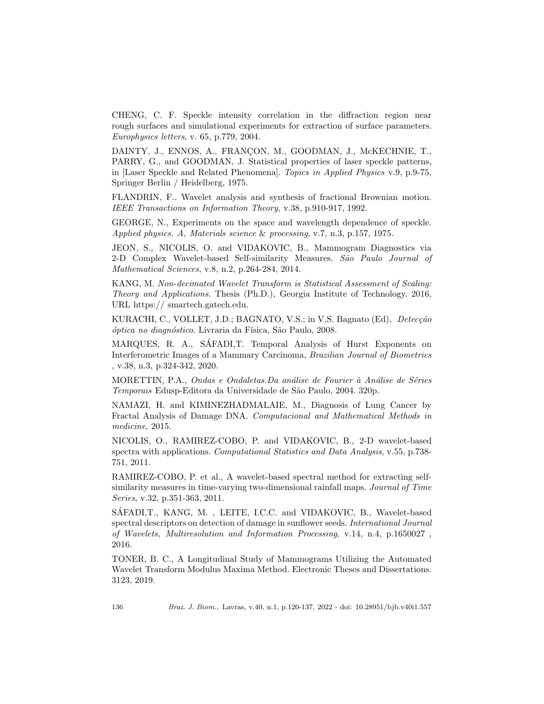CHENG, C. F. Speckle intensity correlation in the diffraction region near rough surfaces and simulational experiments for extraction of surface parameters. *Europhysics letters*, v. 65, p.779, 2004.

DAINTY, J., ENNOS, A., FRANÇON, M., GOODMAN, J., McKECHNIE, T., PARRY, G., and GOODMAN, J. Statistical properties of laser speckle patterns, in [Laser Speckle and Related Phenomena]. *Topics in Applied Physics* v.9, p.9-75, Springer Berlin / Heidelberg, 1975.

FLANDRIN, F.. Wavelet analysis and synthesis of fractional Brownian motion. *IEEE Transactions on Information Theory*, v.38, p.910-917, 1992.

GEORGE, N., Experiments on the space and wavelength dependence of speckle. *Applied physics. A, Materials science* & *processing*, v.7, n.3, p.157, 1975.

JEON, S., NICOLIS, O. and VIDAKOVIC, B., Mammogram Diagnostics via 2-D Complex Wavelet-based Self-similarity Measures. *S˜ao Paulo Journal of Mathematical Sciences*, v.8, n.2, p.264-284, 2014.

KANG, M. *Non-decimated Wavelet Transform is Statistical Assessment of Scaling: Theory and Applications*. Thesis (Ph.D.), Georgia Institute of Technology. 2016, URL https:// smartech.gatech.edu.

KURACHI, C., VOLLET, J.D.; BAGNATO, V.S.; in V.S. Bagnato (Ed), *Detecção ´optica no diagn´ostico*. Livraria da F´ısica, S˜ao Paulo, 2008.

MARQUES, R. A., SAFADI,T. Temporal Analysis of Hurst Exponents on ´ Interferometric Images of a Mammary Carcinoma, *Brazilian Journal of Biometrics* , v.38, n.3, p.324-342, 2020.

MORETTIN, P.A., *Ondas e Ondaletas.Da an´alise de Fourier `a An´alise de S´eries Temporais* Edusp-Editora da Universidade de S˜ao Paulo, 2004. 320p.

NAMAZI, H. and KIMINEZHADMALAIE, M., Diagnosis of Lung Cancer by Fractal Analysis of Damage DNA. *Computacional and Mathematical Methods in medicine*, 2015.

NICOLIS, O., RAMIREZ-COBO, P. and VIDAKOVIC, B., 2-D wavelet-based spectra with applications. *Computational Statistics and Data Analysis*, v.55, p.738- 751, 2011.

RAMIREZ-COBO, P. et al., A wavelet-based spectral method for extracting selfsimilarity measures in time-varying two-dimensional rainfall maps. *Journal of Time Series*, v.32, p.351-363, 2011.

SÁFADI, T., KANG, M., LEITE, I.C.C. and VIDAKOVIC, B., Wavelet-based spectral descriptors on detection of damage in sunflower seeds. *International Journal of Wavelets, Multiresolution and Information Processing*, v.14, n.4, p.1650027 , 2016.

TONER, B. C., A Longitudinal Study of Mammograms Utilizing the Automated Wavelet Transform Modulus Maxima Method. Electronic Theses and Dissertations. 3123, 2019.